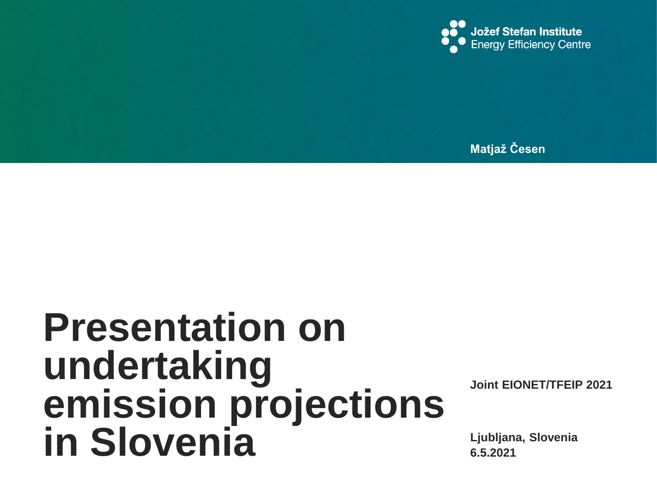

**Matjaž Česen**

# **Presentation on undertaking emission projections in Slovenia**

**Joint EIONET/TFEIP 2021**

**6.5.2021 Ljubljana, Slovenia**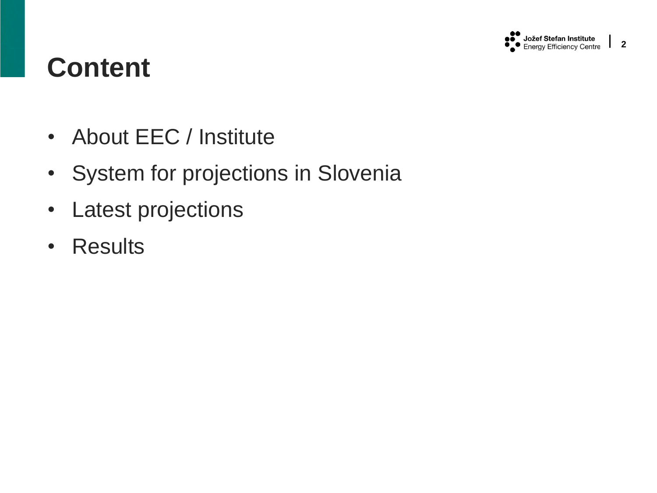

## **Content**

- About EEC / Institute
- System for projections in Slovenia
- Latest projections
- Results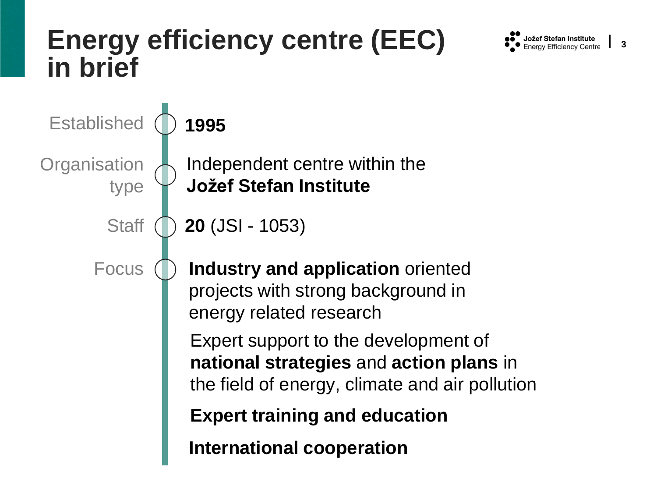### **Energy efficiency centre (EEC) in brief**



**3**

Established **Organisation** type **Staff 1995** Independent centre within the **Jožef Stefan Institute 20** (JSI - 1053) Focus **Industry and application** oriented projects with strong background in energy related research Expert support to the development of **national strategies** and **action plans** in the field of energy, climate and air pollution **International cooperation Expert training and education**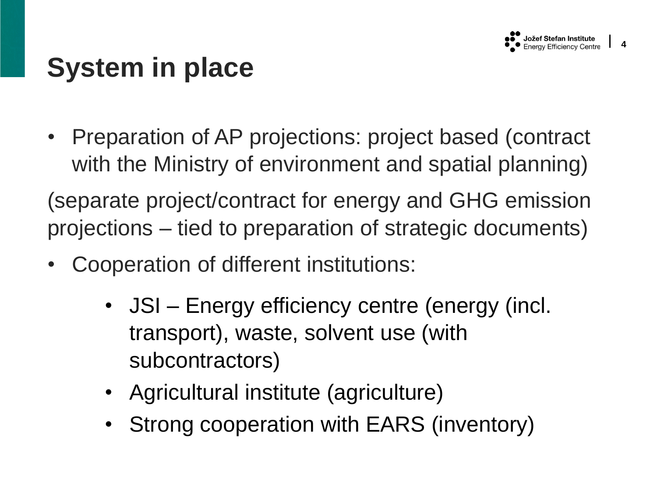

**4**

## **System in place**

• Preparation of AP projections: project based (contract with the Ministry of environment and spatial planning)

(separate project/contract for energy and GHG emission projections – tied to preparation of strategic documents)

- Cooperation of different institutions:
	- JSI Energy efficiency centre (energy (incl. transport), waste, solvent use (with subcontractors)
	- Agricultural institute (agriculture)
	- Strong cooperation with EARS (inventory)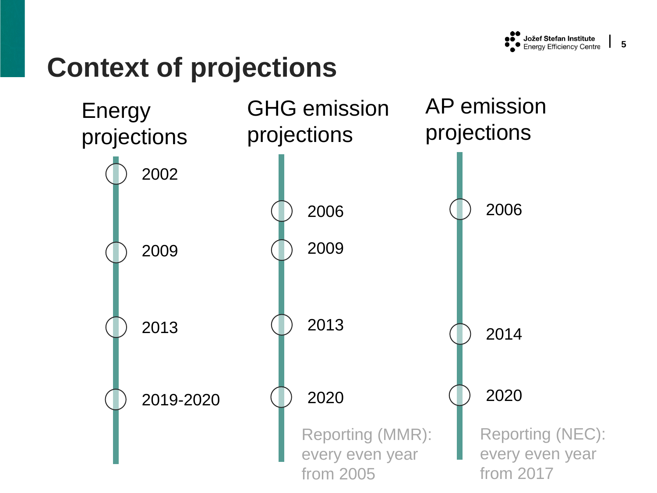### **Context of projections**

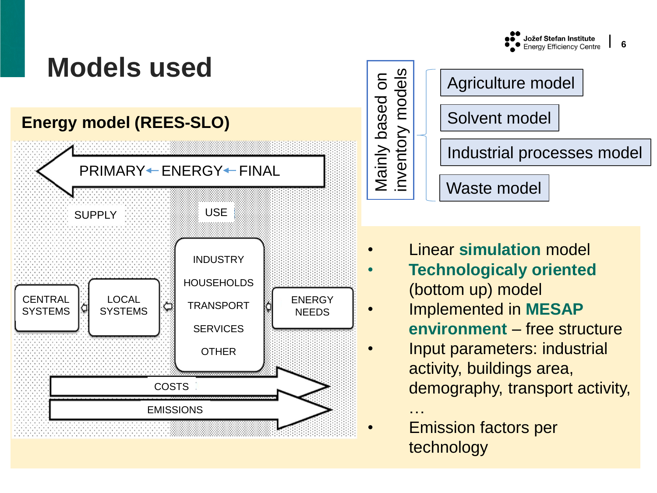

## **Models used**

#### **Energy model (REES-SLO)**





- Linear **simulation** model
	- **Technologicaly oriented** (bottom up) model
- Implemented in **MESAP environment** – free structure
- Input parameters: industrial activity, buildings area, demography, transport activity,
- **Emission factors per** technology

…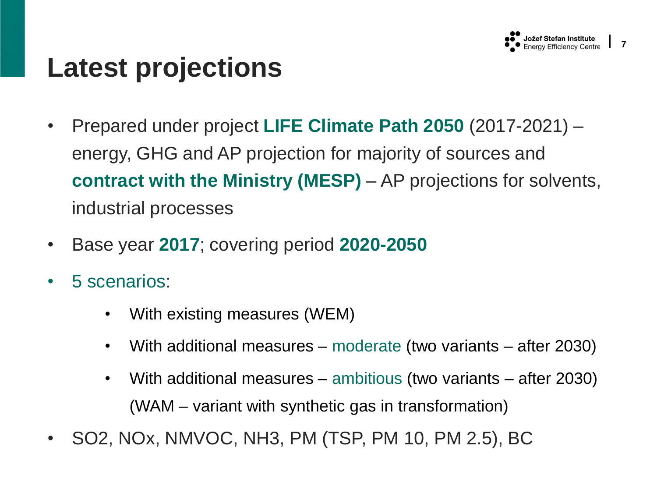

### **Latest projections**

- Prepared under project **LIFE Climate Path 2050** (2017-2021) energy, GHG and AP projection for majority of sources and **contract with the Ministry (MESP)** – AP projections for solvents, industrial processes
- Base year **2017**; covering period **2020-2050**
- 5 scenarios:
	- With existing measures (WEM)
	- With additional measures moderate (two variants after 2030)
	- With additional measures ambitious (two variants after 2030) (WAM – variant with synthetic gas in transformation)
- SO2, NOx, NMVOC, NH3, PM (TSP, PM 10, PM 2.5), BC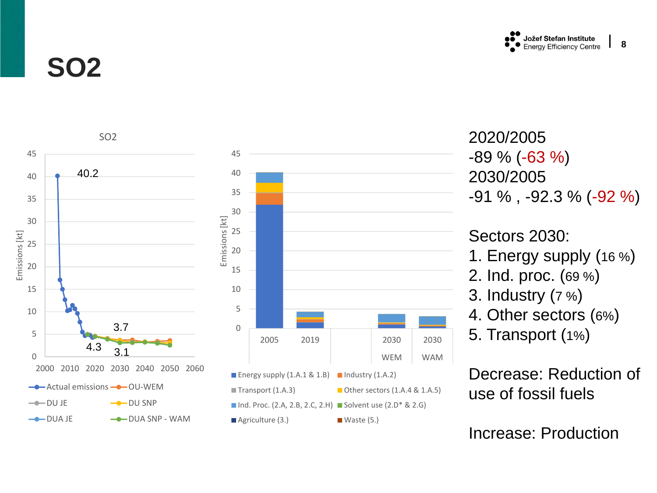

**8**

**SO2**



2020/2005 -89 % (-63 % ) 2030/2005 -91 % , -92.3 % (-92 %)

Sectors 2030:

- 1. Energy supply (16 % )
- 2. Ind. proc. (69 % )
- 3. Industry (7 % )
- 4. Other sectors (6% )
- 5. Transport (1% )

Decrease: Reduction of use of fossil fuels

Increase: Production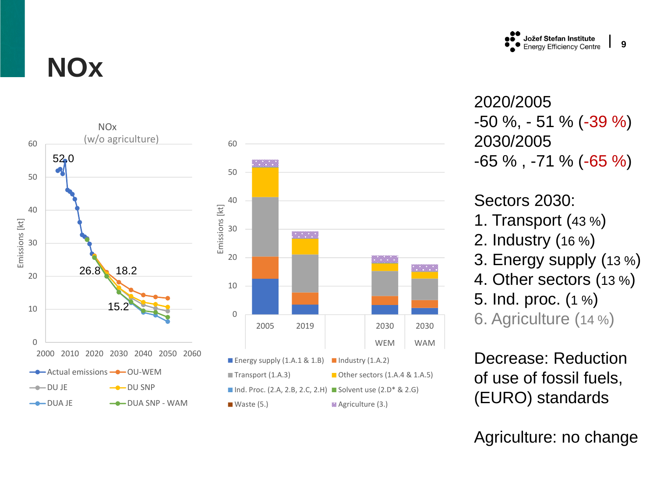

**9**

2020/2005 -50 %, - 51 % ( -39 % ) 2030/2005 -65 % , -71 % ( -65 % )

#### Sectors 2030:

- 1. Transport (43 % )
- 2. Industry (16 % )
- 3. Energy supply (13 % )
- 4. Other sectors (13 % )
- 5. Ind. proc. (1 % )

6. Agriculture (14 % )

Decrease: Reduction of use of fossil fuels, (EURO) standards

Agriculture: no change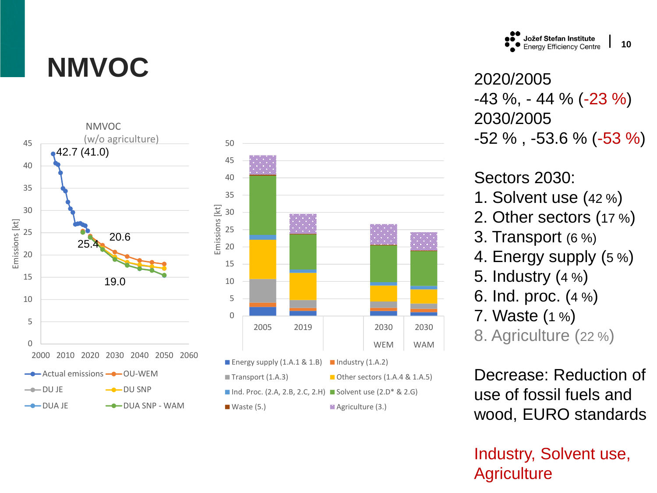# **NMVOC**



Jožef Stefan Institute<br>Energy Efficiency Centre **10**

2020/2005 -43 %, - 44 % ( -23 % ) 2030/2005 -52 % , -53.6 % ( -53 % )

Sectors 2030:

- 1. Solvent use (42 % )
- 2. Other sectors (17 % )
- 3. Transport (6 %)
- 4. Energy supply (5 % )
- 5. Industry (4 % )
- 6. Ind. proc. (4 % )
- 7. Waste (1 % )

8. Agriculture (22 % )

Decrease: Reduction of use of fossil fuels and wood, EURO standards

Industry, Solvent use, **Agriculture**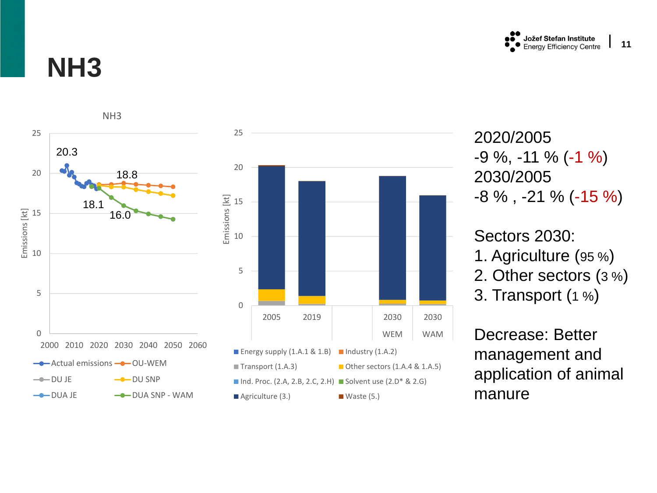

#### **NH3**



2020/2005 -9 %, -11 % (-1 %) 2030/2005 -8 % , -21 % ( -15 % )

Sectors 2030: 1. Agriculture (95 % ) 2. Other sectors (3 % )

3. Transport (1 % )

Decrease: Better management and application of animal manure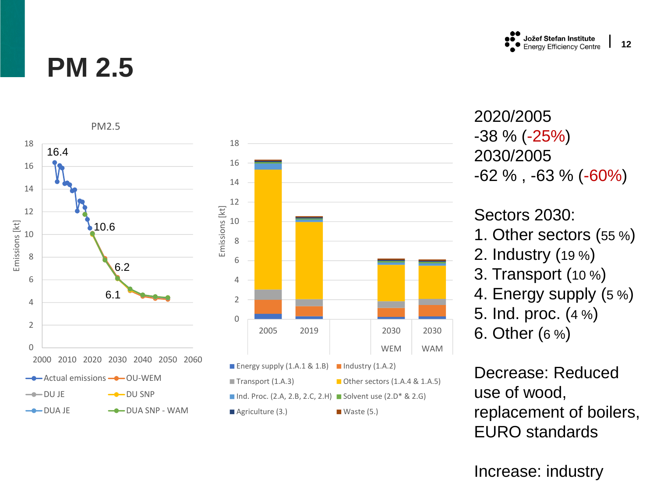#### **PM 2.5**



2020/2005 -38 % (-25% ) 2030/2005 -62 % , -63 % ( -60% )

Sectors 2030:

- 1. Other sectors (55 % )
- 2. Industry (19 % )
- 3. Transport (10 % )
- 4. Energy supply (5 % )
- 5. Ind. proc. (4 % )

6. Other (6 % )

Decrease: Reduced use of wood, replacement of boilers, EURO standards

Increase: industry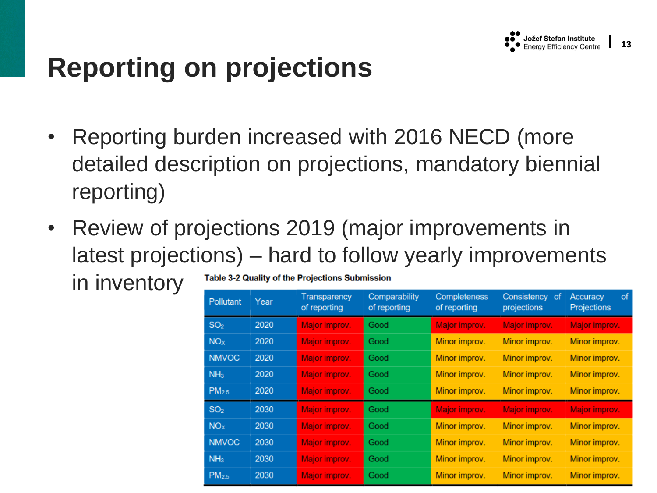# **Reporting on projections**

- Reporting burden increased with 2016 NECD (more detailed description on projections, mandatory biennial reporting)
- Review of projections 2019 (major improvements in latest projections) – hard to follow yearly improvements

in inventory

Table 3-2 Quality of the Projections Submission

| Pollutant         | Year | <b>Transparency</b><br>of reporting | Comparability<br>of reporting | Completeness<br>of reporting | Consistency of<br>projections | of<br>Accuracy<br><b>Projections</b> |
|-------------------|------|-------------------------------------|-------------------------------|------------------------------|-------------------------------|--------------------------------------|
| SO <sub>2</sub>   | 2020 | Major improv.                       | Good                          | Major improv.                | Major improv.                 | Major improv.                        |
| NO <sub>x</sub>   | 2020 | Major improv.                       | Good                          | Minor improv.                | Minor improv.                 | Minor improv.                        |
| <b>NMVOC</b>      | 2020 | Major improv.                       | Good                          | Minor improv.                | Minor improv.                 | Minor improv.                        |
| NH <sub>3</sub>   | 2020 | Major improv.                       | Good                          | Minor improv.                | Minor improv.                 | Minor improv.                        |
| PM <sub>2.5</sub> | 2020 | Major improv.                       | Good                          | Minor improv.                | Minor improv.                 | Minor improv.                        |
| SO <sub>2</sub>   | 2030 | Major improv.                       | Good                          | Major improv.                | Major improv.                 | Major improv.                        |
| NO <sub>x</sub>   | 2030 | Major improv.                       | Good                          | Minor improv.                | Minor improv.                 | Minor improv.                        |
| <b>NMVOC</b>      | 2030 | Major improv.                       | Good                          | Minor improv.                | Minor improv.                 | Minor improv.                        |
| NH <sub>3</sub>   | 2030 | Major improv.                       | Good                          | Minor improv.                | Minor improv.                 | Minor improv.                        |
| PM <sub>2.5</sub> | 2030 | Major improv.                       | Good                          | Minor improv.                | Minor improv.                 | Minor improv.                        |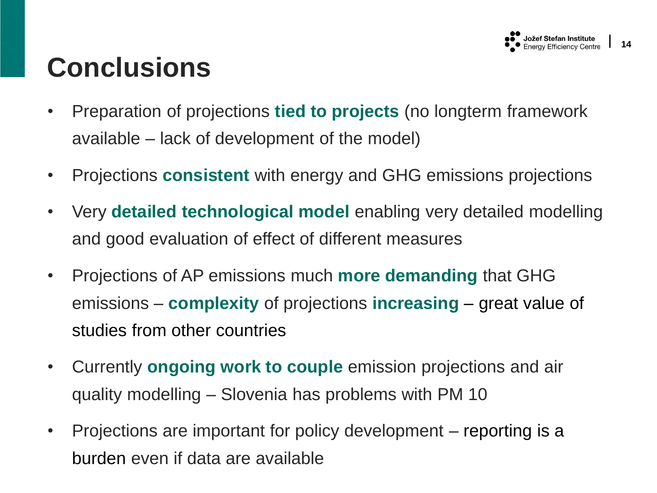#### **Jožef Stefan Institute**<br>Energy Efficiency Centre

# **Conclusions**

- Preparation of projections **tied to projects** (no longterm framework available – lack of development of the model)
- Projections **consistent** with energy and GHG emissions projections
- Very **detailed technological model** enabling very detailed modelling and good evaluation of effect of different measures
- Projections of AP emissions much **more demanding** that GHG emissions – **complexity** of projections **increasing** – great value of studies from other countries
- Currently **ongoing work to couple** emission projections and air quality modelling – Slovenia has problems with PM 10
- Projections are important for policy development reporting is a burden even if data are available